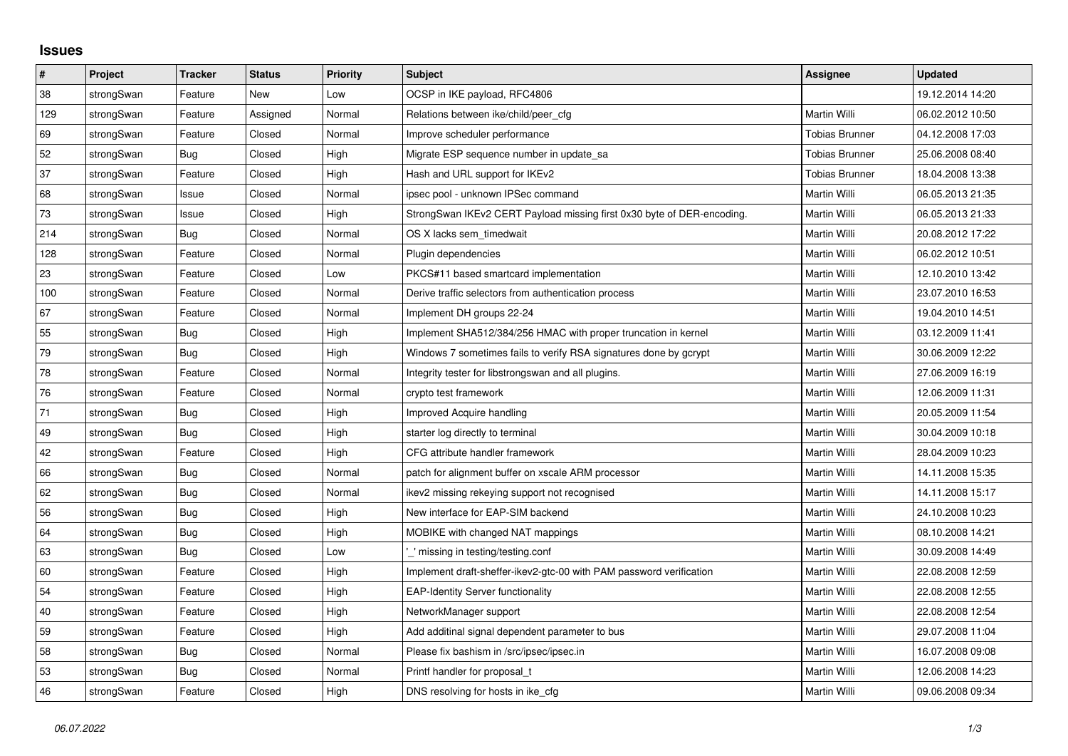## **Issues**

| $\pmb{\sharp}$ | Project    | <b>Tracker</b> | <b>Status</b> | <b>Priority</b> | <b>Subject</b>                                                         | <b>Assignee</b>       | <b>Updated</b>   |
|----------------|------------|----------------|---------------|-----------------|------------------------------------------------------------------------|-----------------------|------------------|
| 38             | strongSwan | Feature        | <b>New</b>    | Low             | OCSP in IKE payload, RFC4806                                           |                       | 19.12.2014 14:20 |
| 129            | strongSwan | Feature        | Assigned      | Normal          | Relations between ike/child/peer cfg                                   | Martin Willi          | 06.02.2012 10:50 |
| 69             | strongSwan | Feature        | Closed        | Normal          | Improve scheduler performance                                          | <b>Tobias Brunner</b> | 04.12.2008 17:03 |
| 52             | strongSwan | Bug            | Closed        | High            | Migrate ESP sequence number in update sa                               | Tobias Brunner        | 25.06.2008 08:40 |
| 37             | strongSwan | Feature        | Closed        | High            | Hash and URL support for IKEv2                                         | <b>Tobias Brunner</b> | 18.04.2008 13:38 |
| 68             | strongSwan | Issue          | Closed        | Normal          | ipsec pool - unknown IPSec command                                     | Martin Willi          | 06.05.2013 21:35 |
| 73             | strongSwan | Issue          | Closed        | High            | StrongSwan IKEv2 CERT Payload missing first 0x30 byte of DER-encoding. | Martin Willi          | 06.05.2013 21:33 |
| 214            | strongSwan | Bug            | Closed        | Normal          | OS X lacks sem timedwait                                               | Martin Willi          | 20.08.2012 17:22 |
| 128            | strongSwan | Feature        | Closed        | Normal          | Plugin dependencies                                                    | Martin Willi          | 06.02.2012 10:51 |
| 23             | strongSwan | Feature        | Closed        | Low             | PKCS#11 based smartcard implementation                                 | Martin Willi          | 12.10.2010 13:42 |
| 100            | strongSwan | Feature        | Closed        | Normal          | Derive traffic selectors from authentication process                   | Martin Willi          | 23.07.2010 16:53 |
| 67             | strongSwan | Feature        | Closed        | Normal          | Implement DH groups 22-24                                              | Martin Willi          | 19.04.2010 14:51 |
| 55             | strongSwan | <b>Bug</b>     | Closed        | High            | Implement SHA512/384/256 HMAC with proper truncation in kernel         | Martin Willi          | 03.12.2009 11:41 |
| 79             | strongSwan | Bug            | Closed        | High            | Windows 7 sometimes fails to verify RSA signatures done by gcrypt      | Martin Willi          | 30.06.2009 12:22 |
| 78             | strongSwan | Feature        | Closed        | Normal          | Integrity tester for libstrongswan and all plugins.                    | Martin Willi          | 27.06.2009 16:19 |
| 76             | strongSwan | Feature        | Closed        | Normal          | crypto test framework                                                  | Martin Willi          | 12.06.2009 11:31 |
| 71             | strongSwan | Bug            | Closed        | High            | Improved Acquire handling                                              | Martin Willi          | 20.05.2009 11:54 |
| 49             | strongSwan | Bug            | Closed        | High            | starter log directly to terminal                                       | Martin Willi          | 30.04.2009 10:18 |
| 42             | strongSwan | Feature        | Closed        | High            | CFG attribute handler framework                                        | Martin Willi          | 28.04.2009 10:23 |
| 66             | strongSwan | Bug            | Closed        | Normal          | patch for alignment buffer on xscale ARM processor                     | Martin Willi          | 14.11.2008 15:35 |
| 62             | strongSwan | Bug            | Closed        | Normal          | ikev2 missing rekeying support not recognised                          | Martin Willi          | 14.11.2008 15:17 |
| 56             | strongSwan | Bug            | Closed        | High            | New interface for EAP-SIM backend                                      | Martin Willi          | 24.10.2008 10:23 |
| 64             | strongSwan | Bug            | Closed        | High            | MOBIKE with changed NAT mappings                                       | Martin Willi          | 08.10.2008 14:21 |
| 63             | strongSwan | Bug            | Closed        | Low             | ' missing in testing/testing.conf                                      | Martin Willi          | 30.09.2008 14:49 |
| 60             | strongSwan | Feature        | Closed        | High            | Implement draft-sheffer-ikev2-gtc-00 with PAM password verification    | Martin Willi          | 22.08.2008 12:59 |
| 54             | strongSwan | Feature        | Closed        | High            | <b>EAP-Identity Server functionality</b>                               | Martin Willi          | 22.08.2008 12:55 |
| 40             | strongSwan | Feature        | Closed        | High            | NetworkManager support                                                 | Martin Willi          | 22.08.2008 12:54 |
| 59             | strongSwan | Feature        | Closed        | High            | Add additinal signal dependent parameter to bus                        | Martin Willi          | 29.07.2008 11:04 |
| 58             | strongSwan | Bug            | Closed        | Normal          | Please fix bashism in /src/ipsec/ipsec.in                              | Martin Willi          | 16.07.2008 09:08 |
| 53             | strongSwan | Bug            | Closed        | Normal          | Printf handler for proposal t                                          | Martin Willi          | 12.06.2008 14:23 |
| 46             | strongSwan | Feature        | Closed        | High            | DNS resolving for hosts in ike cfg.                                    | Martin Willi          | 09.06.2008 09:34 |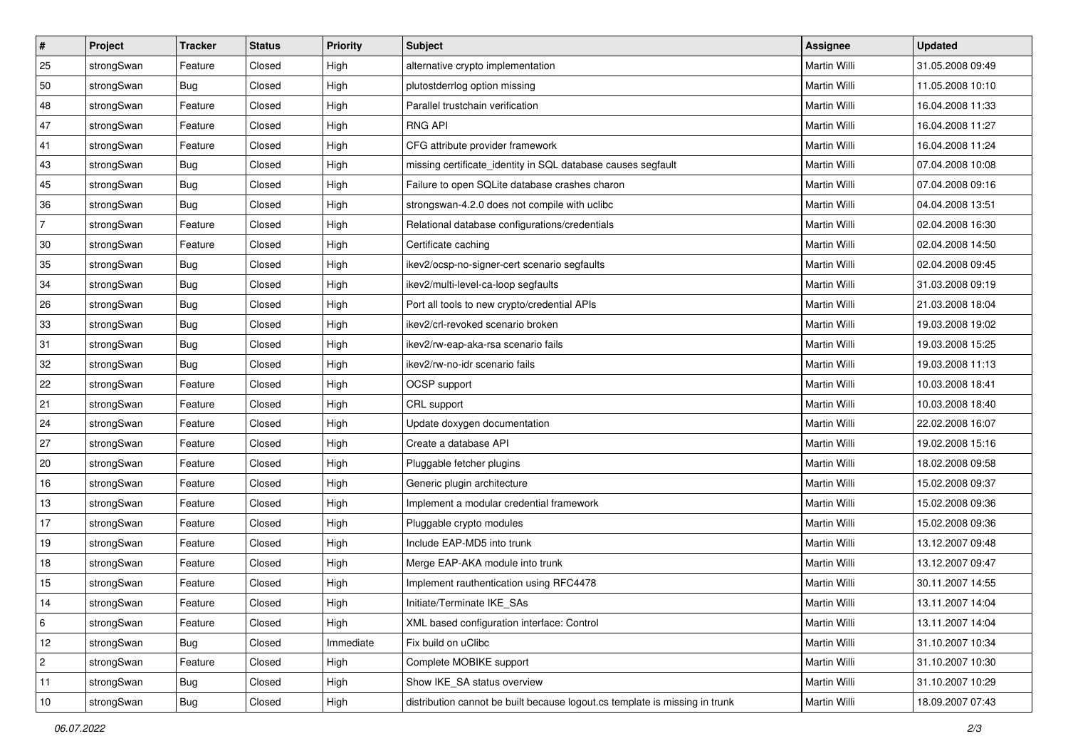| $\vert$ #      | Project    | <b>Tracker</b> | <b>Status</b> | Priority  | <b>Subject</b>                                                              | <b>Assignee</b>     | <b>Updated</b>   |
|----------------|------------|----------------|---------------|-----------|-----------------------------------------------------------------------------|---------------------|------------------|
| 25             | strongSwan | Feature        | Closed        | High      | alternative crypto implementation                                           | Martin Willi        | 31.05.2008 09:49 |
| 50             | strongSwan | Bug            | Closed        | High      | plutostderrlog option missing                                               | Martin Willi        | 11.05.2008 10:10 |
| 48             | strongSwan | Feature        | Closed        | High      | Parallel trustchain verification                                            | Martin Willi        | 16.04.2008 11:33 |
| 47             | strongSwan | Feature        | Closed        | High      | <b>RNG API</b>                                                              | <b>Martin Willi</b> | 16.04.2008 11:27 |
| 41             | strongSwan | Feature        | Closed        | High      | CFG attribute provider framework                                            | Martin Willi        | 16.04.2008 11:24 |
| 43             | strongSwan | <b>Bug</b>     | Closed        | High      | missing certificate_identity in SQL database causes segfault                | Martin Willi        | 07.04.2008 10:08 |
| 45             | strongSwan | Bug            | Closed        | High      | Failure to open SQLite database crashes charon                              | Martin Willi        | 07.04.2008 09:16 |
| 36             | strongSwan | Bug            | Closed        | High      | strongswan-4.2.0 does not compile with uclibc                               | Martin Willi        | 04.04.2008 13:51 |
| $\overline{7}$ | strongSwan | Feature        | Closed        | High      | Relational database configurations/credentials                              | Martin Willi        | 02.04.2008 16:30 |
| 30             | strongSwan | Feature        | Closed        | High      | Certificate caching                                                         | Martin Willi        | 02.04.2008 14:50 |
| 35             | strongSwan | Bug            | Closed        | High      | ikev2/ocsp-no-signer-cert scenario segfaults                                | Martin Willi        | 02.04.2008 09:45 |
| 34             | strongSwan | <b>Bug</b>     | Closed        | High      | ikev2/multi-level-ca-loop segfaults                                         | <b>Martin Willi</b> | 31.03.2008 09:19 |
| 26             | strongSwan | Bug            | Closed        | High      | Port all tools to new crypto/credential APIs                                | <b>Martin Willi</b> | 21.03.2008 18:04 |
| 33             | strongSwan | Bug            | Closed        | High      | ikev2/crl-revoked scenario broken                                           | Martin Willi        | 19.03.2008 19:02 |
| 31             | strongSwan | Bug            | Closed        | High      | ikev2/rw-eap-aka-rsa scenario fails                                         | Martin Willi        | 19.03.2008 15:25 |
| 32             | strongSwan | <b>Bug</b>     | Closed        | High      | ikev2/rw-no-idr scenario fails                                              | Martin Willi        | 19.03.2008 11:13 |
| 22             | strongSwan | Feature        | Closed        | High      | OCSP support                                                                | Martin Willi        | 10.03.2008 18:41 |
| 21             | strongSwan | Feature        | Closed        | High      | CRL support                                                                 | Martin Willi        | 10.03.2008 18:40 |
| 24             | strongSwan | Feature        | Closed        | High      | Update doxygen documentation                                                | Martin Willi        | 22.02.2008 16:07 |
| 27             | strongSwan | Feature        | Closed        | High      | Create a database API                                                       | Martin Willi        | 19.02.2008 15:16 |
| 20             | strongSwan | Feature        | Closed        | High      | Pluggable fetcher plugins                                                   | Martin Willi        | 18.02.2008 09:58 |
| 16             | strongSwan | Feature        | Closed        | High      | Generic plugin architecture                                                 | Martin Willi        | 15.02.2008 09:37 |
| 13             | strongSwan | Feature        | Closed        | High      | Implement a modular credential framework                                    | Martin Willi        | 15.02.2008 09:36 |
| 17             | strongSwan | Feature        | Closed        | High      | Pluggable crypto modules                                                    | Martin Willi        | 15.02.2008 09:36 |
| 19             | strongSwan | Feature        | Closed        | High      | Include EAP-MD5 into trunk                                                  | Martin Willi        | 13.12.2007 09:48 |
| 18             | strongSwan | Feature        | Closed        | High      | Merge EAP-AKA module into trunk                                             | Martin Willi        | 13.12.2007 09:47 |
| 15             | strongSwan | Feature        | Closed        | High      | Implement rauthentication using RFC4478                                     | Martin Willi        | 30.11.2007 14:55 |
| 14             | strongSwan | Feature        | Closed        | High      | Initiate/Terminate IKE_SAs                                                  | Martin Willi        | 13.11.2007 14:04 |
| 6              | strongSwan | Feature        | Closed        | High      | XML based configuration interface: Control                                  | Martin Willi        | 13.11.2007 14:04 |
| 12             | strongSwan | Bug            | Closed        | Immediate | Fix build on uClibc                                                         | Martin Willi        | 31.10.2007 10:34 |
| 2              | strongSwan | Feature        | Closed        | High      | Complete MOBIKE support                                                     | Martin Willi        | 31.10.2007 10:30 |
| 11             | strongSwan | Bug            | Closed        | High      | Show IKE SA status overview                                                 | Martin Willi        | 31.10.2007 10:29 |
| 10             | strongSwan | <b>Bug</b>     | Closed        | High      | distribution cannot be built because logout.cs template is missing in trunk | Martin Willi        | 18.09.2007 07:43 |